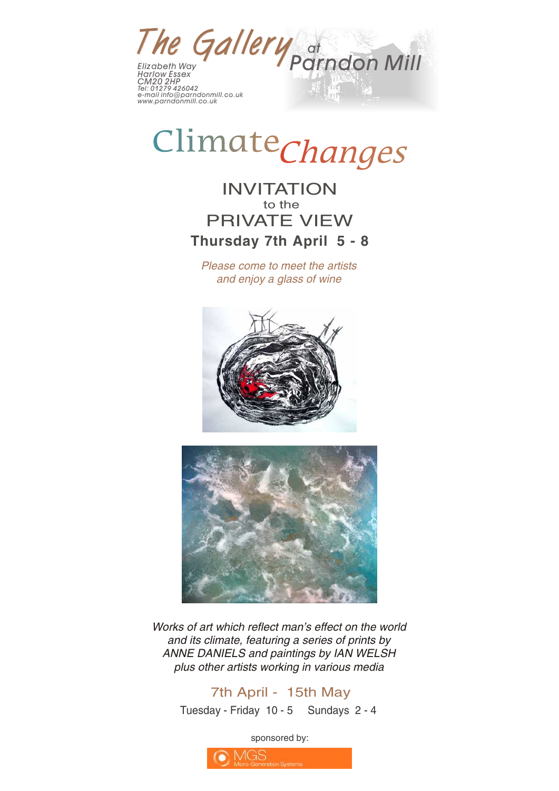

# Climate*Changes*

## INVITATION to the PRIVATE VIEW **Thursday 7th April 5 - 8**

*Please come to meet the artists and enjoy a glass of wine*





*Works of art which reflect man's effect on the world and its climate, featuring a series of prints by ANNE DANIELS and paintings by IAN WELSH plus other artists working in various media*

### 7th April - 15th May

Tuesday - Friday 10 - 5 Sundays 2 - 4

sponsored by: